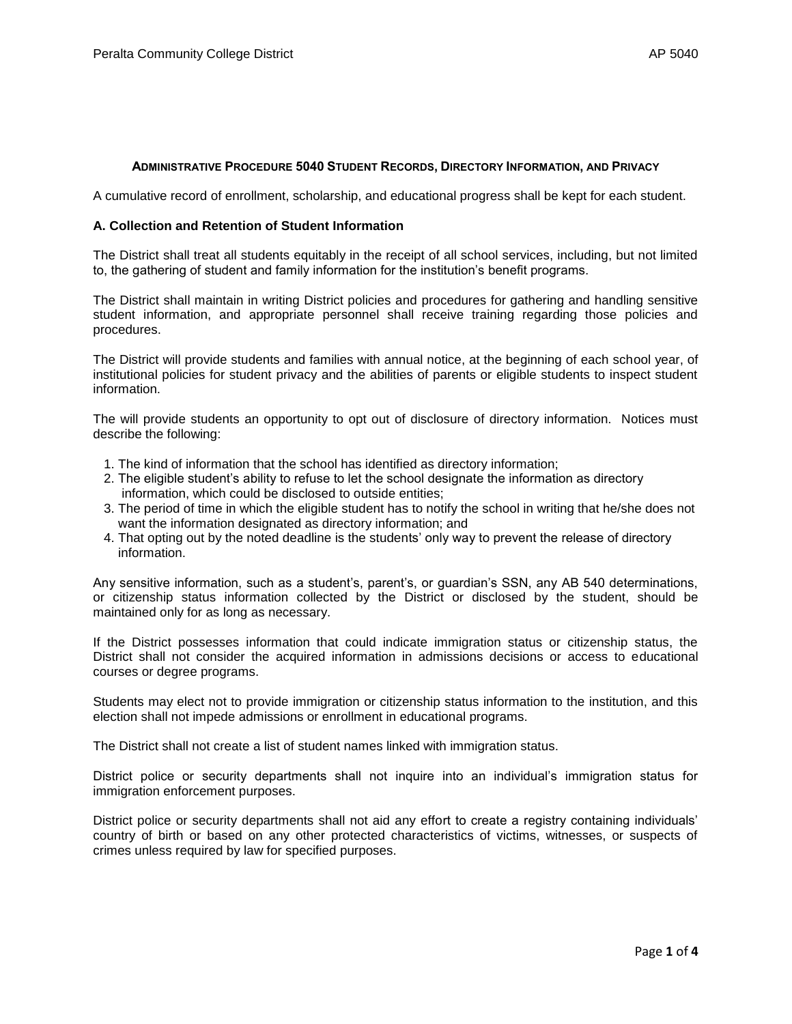#### **ADMINISTRATIVE PROCEDURE 5040 STUDENT RECORDS, DIRECTORY INFORMATION, AND PRIVACY**

A cumulative record of enrollment, scholarship, and educational progress shall be kept for each student.

#### **A. Collection and Retention of Student Information**

The District shall treat all students equitably in the receipt of all school services, including, but not limited to, the gathering of student and family information for the institution's benefit programs.

The District shall maintain in writing District policies and procedures for gathering and handling sensitive student information, and appropriate personnel shall receive training regarding those policies and procedures.

The District will provide students and families with annual notice, at the beginning of each school year, of institutional policies for student privacy and the abilities of parents or eligible students to inspect student information.

The will provide students an opportunity to opt out of disclosure of directory information. Notices must describe the following:

- 1. The kind of information that the school has identified as directory information;
- 2. The eligible student's ability to refuse to let the school designate the information as directory information, which could be disclosed to outside entities;
- 3. The period of time in which the eligible student has to notify the school in writing that he/she does not want the information designated as directory information; and
- 4. That opting out by the noted deadline is the students' only way to prevent the release of directory information.

Any sensitive information, such as a student's, parent's, or guardian's SSN, any AB 540 determinations, or citizenship status information collected by the District or disclosed by the student, should be maintained only for as long as necessary.

If the District possesses information that could indicate immigration status or citizenship status, the District shall not consider the acquired information in admissions decisions or access to educational courses or degree programs.

Students may elect not to provide immigration or citizenship status information to the institution, and this election shall not impede admissions or enrollment in educational programs.

The District shall not create a list of student names linked with immigration status.

District police or security departments shall not inquire into an individual's immigration status for immigration enforcement purposes.

District police or security departments shall not aid any effort to create a registry containing individuals' country of birth or based on any other protected characteristics of victims, witnesses, or suspects of crimes unless required by law for specified purposes.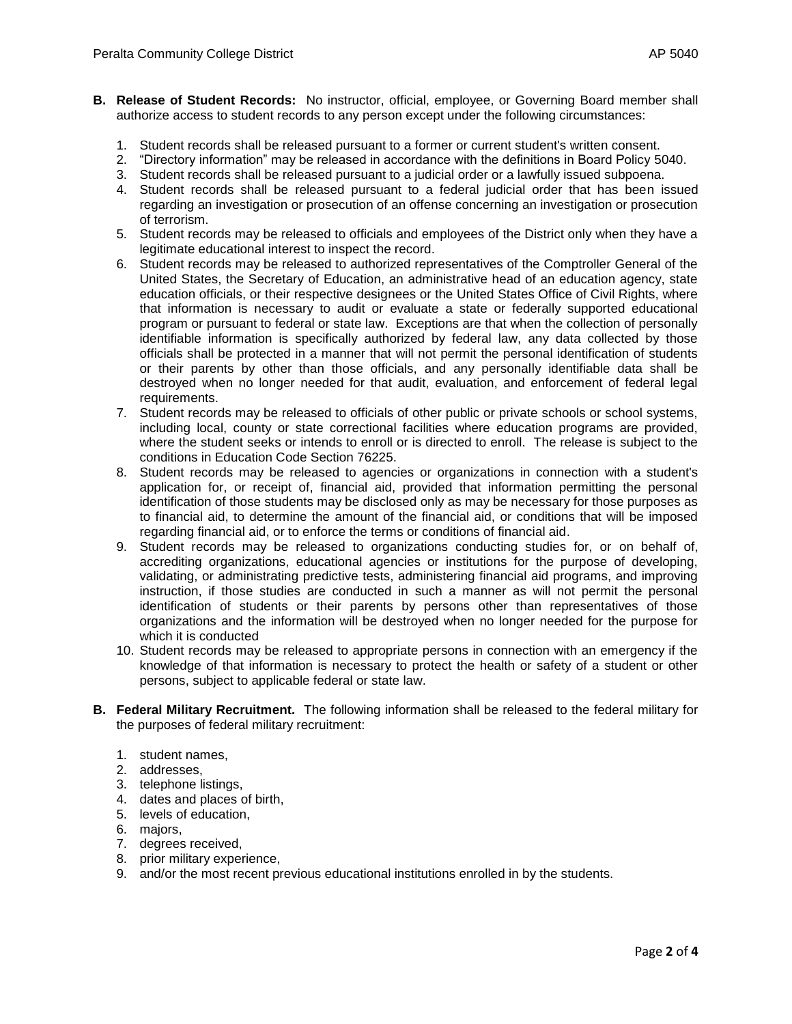- **B. Release of Student Records:** No instructor, official, employee, or Governing Board member shall authorize access to student records to any person except under the following circumstances:
	- 1. Student records shall be released pursuant to a former or current student's written consent.
	- 2. "Directory information" may be released in accordance with the definitions in Board Policy 5040.
	- 3. Student records shall be released pursuant to a judicial order or a lawfully issued subpoena.
	- 4. Student records shall be released pursuant to a federal judicial order that has been issued regarding an investigation or prosecution of an offense concerning an investigation or prosecution of terrorism.
	- 5. Student records may be released to officials and employees of the District only when they have a legitimate educational interest to inspect the record.
	- 6. Student records may be released to authorized representatives of the Comptroller General of the United States, the Secretary of Education, an administrative head of an education agency, state education officials, or their respective designees or the United States Office of Civil Rights, where that information is necessary to audit or evaluate a state or federally supported educational program or pursuant to federal or state law. Exceptions are that when the collection of personally identifiable information is specifically authorized by federal law, any data collected by those officials shall be protected in a manner that will not permit the personal identification of students or their parents by other than those officials, and any personally identifiable data shall be destroyed when no longer needed for that audit, evaluation, and enforcement of federal legal requirements.
	- 7. Student records may be released to officials of other public or private schools or school systems, including local, county or state correctional facilities where education programs are provided, where the student seeks or intends to enroll or is directed to enroll. The release is subject to the conditions in Education Code Section 76225.
	- 8. Student records may be released to agencies or organizations in connection with a student's application for, or receipt of, financial aid, provided that information permitting the personal identification of those students may be disclosed only as may be necessary for those purposes as to financial aid, to determine the amount of the financial aid, or conditions that will be imposed regarding financial aid, or to enforce the terms or conditions of financial aid.
	- 9. Student records may be released to organizations conducting studies for, or on behalf of, accrediting organizations, educational agencies or institutions for the purpose of developing, validating, or administrating predictive tests, administering financial aid programs, and improving instruction, if those studies are conducted in such a manner as will not permit the personal identification of students or their parents by persons other than representatives of those organizations and the information will be destroyed when no longer needed for the purpose for which it is conducted
	- 10. Student records may be released to appropriate persons in connection with an emergency if the knowledge of that information is necessary to protect the health or safety of a student or other persons, subject to applicable federal or state law.
- **B. Federal Military Recruitment.** The following information shall be released to the federal military for the purposes of federal military recruitment:
	- 1. student names,
	- 2. addresses,
	- 3. telephone listings,
	- 4. dates and places of birth,
	- 5. levels of education,
	- 6. majors,
	- 7. degrees received,
	- 8. prior military experience,
	- 9. and/or the most recent previous educational institutions enrolled in by the students.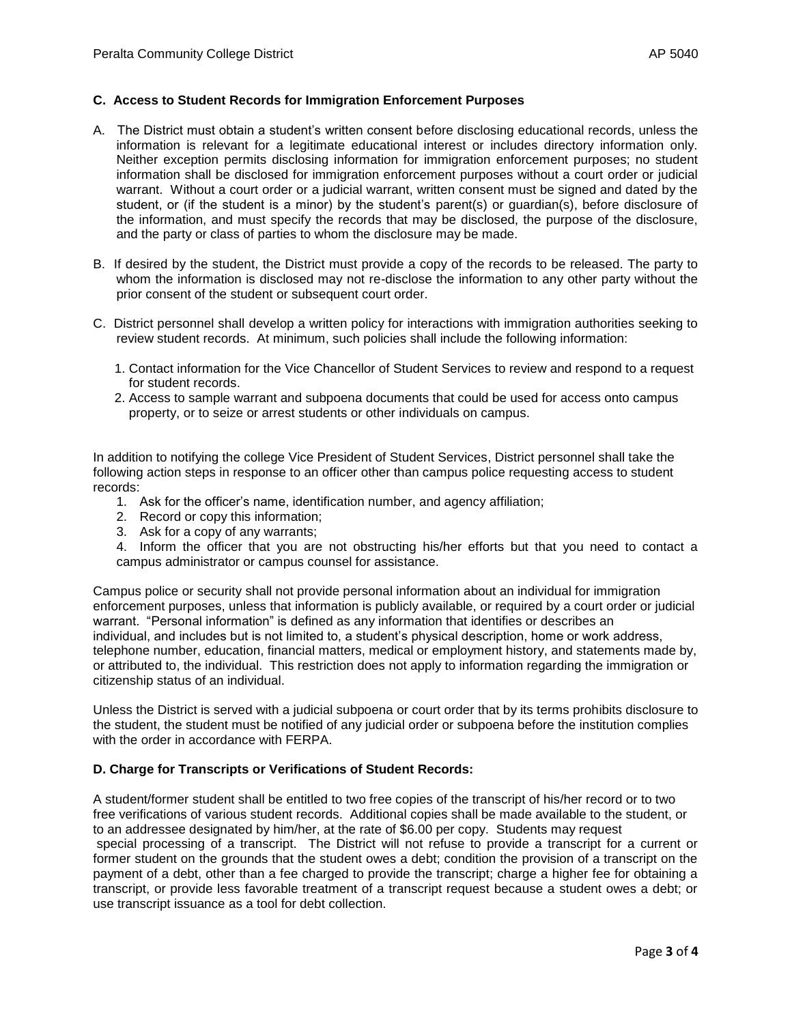### **C. Access to Student Records for Immigration Enforcement Purposes**

- A. The District must obtain a student's written consent before disclosing educational records, unless the information is relevant for a legitimate educational interest or includes directory information only. Neither exception permits disclosing information for immigration enforcement purposes; no student information shall be disclosed for immigration enforcement purposes without a court order or judicial warrant. Without a court order or a judicial warrant, written consent must be signed and dated by the student, or (if the student is a minor) by the student's parent(s) or guardian(s), before disclosure of the information, and must specify the records that may be disclosed, the purpose of the disclosure, and the party or class of parties to whom the disclosure may be made.
- B. If desired by the student, the District must provide a copy of the records to be released. The party to whom the information is disclosed may not re-disclose the information to any other party without the prior consent of the student or subsequent court order.
- C. District personnel shall develop a written policy for interactions with immigration authorities seeking to review student records. At minimum, such policies shall include the following information:
	- 1. Contact information for the Vice Chancellor of Student Services to review and respond to a request for student records.
	- 2. Access to sample warrant and subpoena documents that could be used for access onto campus property, or to seize or arrest students or other individuals on campus.

In addition to notifying the college Vice President of Student Services, District personnel shall take the following action steps in response to an officer other than campus police requesting access to student records:

- 1. Ask for the officer's name, identification number, and agency affiliation;
- 2. Record or copy this information;
- 3. Ask for a copy of any warrants;

4. Inform the officer that you are not obstructing his/her efforts but that you need to contact a campus administrator or campus counsel for assistance.

Campus police or security shall not provide personal information about an individual for immigration enforcement purposes, unless that information is publicly available, or required by a court order or judicial warrant. "Personal information" is defined as any information that identifies or describes an individual, and includes but is not limited to, a student's physical description, home or work address, telephone number, education, financial matters, medical or employment history, and statements made by, or attributed to, the individual. This restriction does not apply to information regarding the immigration or citizenship status of an individual.

Unless the District is served with a judicial subpoena or court order that by its terms prohibits disclosure to the student, the student must be notified of any judicial order or subpoena before the institution complies with the order in accordance with FERPA.

# **D. Charge for Transcripts or Verifications of Student Records:**

A student/former student shall be entitled to two free copies of the transcript of his/her record or to two free verifications of various student records. Additional copies shall be made available to the student, or to an addressee designated by him/her, at the rate of \$6.00 per copy. Students may request special processing of a transcript. The District will not refuse to provide a transcript for a current or former student on the grounds that the student owes a debt; condition the provision of a transcript on the payment of a debt, other than a fee charged to provide the transcript; charge a higher fee for obtaining a transcript, or provide less favorable treatment of a transcript request because a student owes a debt; or use transcript issuance as a tool for debt collection.